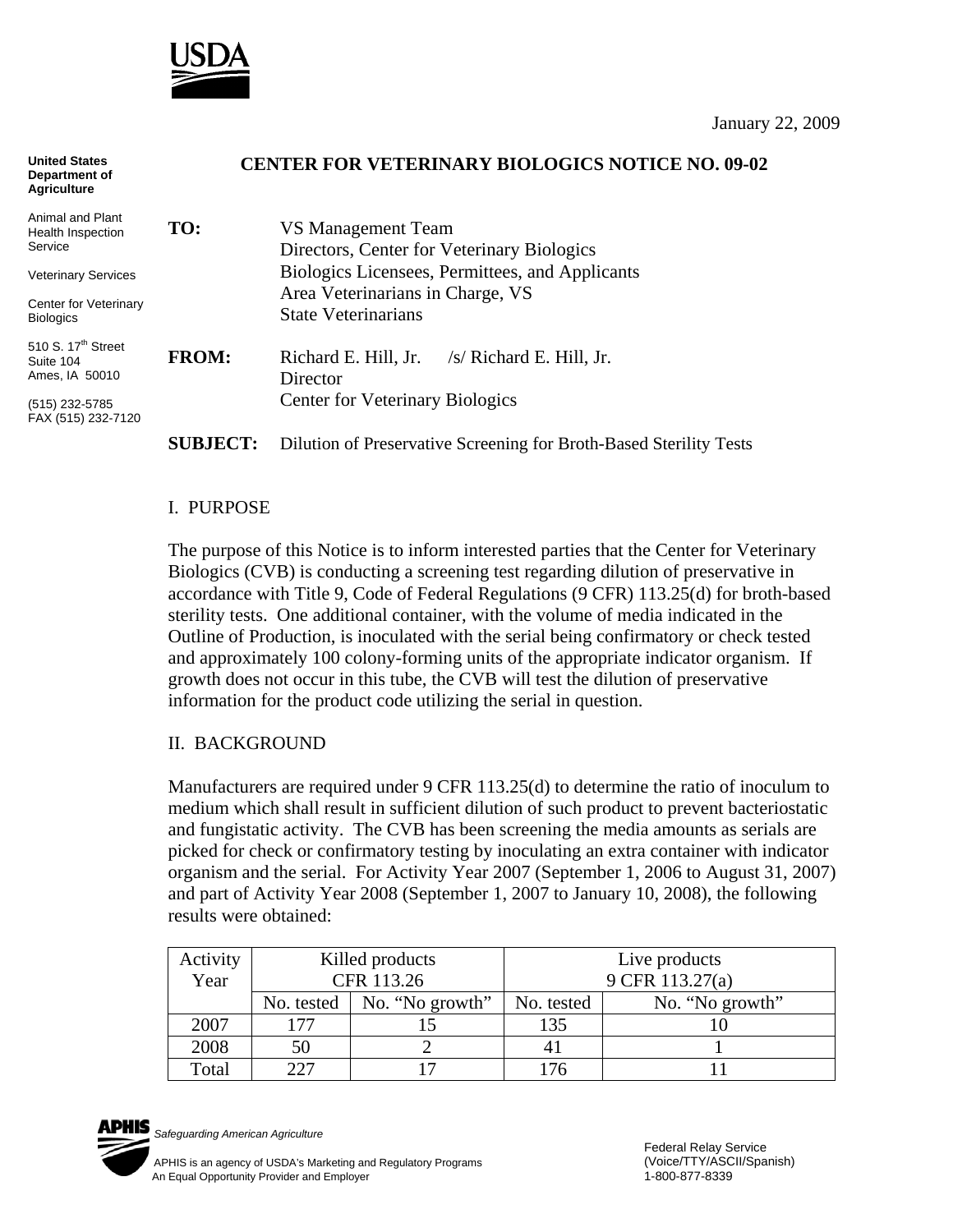

#### **CENTER FOR VETERINARY BIOLOGICS NOTICE NO. 09-02 TO:** VS Management Team Directors, Center for Veterinary Biologics Biologics Licensees, Permittees, and Applicants Area Veterinarians in Charge, VS State Veterinarians **FROM:** Richard E. Hill, Jr. /s/ Richard E. Hill, Jr. Director Center for Veterinary Biologics **SUBJECT:** Dilution of Preservative Screening for Broth-Based Sterility Tests **United States Department of Agriculture** Animal and Plant Health Inspection Service Veterinary Services Center for Veterinary **Biologics** 510 S.  $17<sup>th</sup>$  Street Suite 104 Ames, IA 50010 (515) 232-5785 FAX (515) 232-7120

#### I. PURPOSE

The purpose of this Notice is to inform interested parties that the Center for Veterinary Biologics (CVB) is conducting a screening test regarding dilution of preservative in accordance with Title 9, Code of Federal Regulations (9 CFR) 113.25(d) for broth-based sterility tests. One additional container, with the volume of media indicated in the Outline of Production, is inoculated with the serial being confirmatory or check tested and approximately 100 colony-forming units of the appropriate indicator organism. If growth does not occur in this tube, the CVB will test the dilution of preservative information for the product code utilizing the serial in question.

### II. BACKGROUND

Manufacturers are required under 9 CFR 113.25(d) to determine the ratio of inoculum to medium which shall result in sufficient dilution of such product to prevent bacteriostatic and fungistatic activity. The CVB has been screening the media amounts as serials are picked for check or confirmatory testing by inoculating an extra container with indicator organism and the serial. For Activity Year 2007 (September 1, 2006 to August 31, 2007) and part of Activity Year 2008 (September 1, 2007 to January 10, 2008), the following results were obtained:

| Activity | Killed products    |                 | Live products   |                 |
|----------|--------------------|-----------------|-----------------|-----------------|
| Year     | CFR 113.26         |                 | 9 CFR 113.27(a) |                 |
|          | No. tested $\vert$ | No. "No growth" | No. tested      | No. "No growth" |
| 2007     | 177                |                 | 135             |                 |
| 2008     | 50                 |                 |                 |                 |
| Total    | フフフ                |                 |                 |                 |



*Safeguarding American Agriculture*